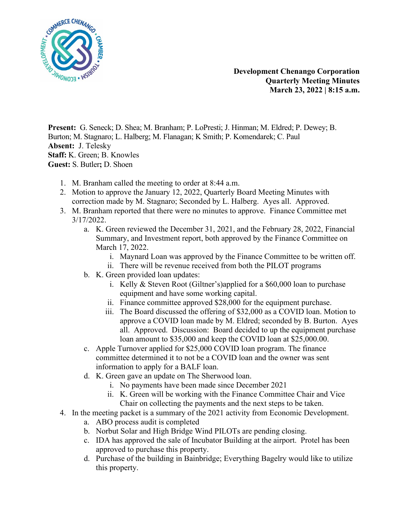

**Development Chenango Corporation Quarterly Meeting Minutes March 23, 2022 | 8:15 a.m.**

**Present:** G. Seneck; D. Shea; M. Branham; P. LoPresti; J. Hinman; M. Eldred; P. Dewey; B. Burton; M. Stagnaro; L. Halberg; M. Flanagan; K Smith; P. Komendarek; C. Paul **Absent:** J. Telesky **Staff:** K. Green; B. Knowles **Guest:** S. Butler**;** D. Shoen

- 1. M. Branham called the meeting to order at 8:44 a.m.
- 2. Motion to approve the January 12, 2022, Quarterly Board Meeting Minutes with correction made by M. Stagnaro; Seconded by L. Halberg. Ayes all. Approved.
- 3. M. Branham reported that there were no minutes to approve. Finance Committee met 3/17/2022.
	- a. K. Green reviewed the December 31, 2021, and the February 28, 2022, Financial Summary, and Investment report, both approved by the Finance Committee on March 17, 2022.
		- i. Maynard Loan was approved by the Finance Committee to be written off.
		- ii. There will be revenue received from both the PILOT programs
	- b. K. Green provided loan updates:
		- i. Kelly & Steven Root (Giltner's)applied for a \$60,000 loan to purchase equipment and have some working capital.
		- ii. Finance committee approved \$28,000 for the equipment purchase.
		- iii. The Board discussed the offering of \$32,000 as a COVID loan. Motion to approve a COVID loan made by M. Eldred; seconded by B. Burton. Ayes all. Approved. Discussion: Board decided to up the equipment purchase loan amount to \$35,000 and keep the COVID loan at \$25,000.00.
	- c. Apple Turnover applied for \$25,000 COVID loan program. The finance committee determined it to not be a COVID loan and the owner was sent information to apply for a BALF loan.
	- d. K. Green gave an update on The Sherwood loan.
		- i. No payments have been made since December 2021
		- ii. K. Green will be working with the Finance Committee Chair and Vice Chair on collecting the payments and the next steps to be taken.
- 4. In the meeting packet is a summary of the 2021 activity from Economic Development.
	- a. ABO process audit is completed
	- b. Norbut Solar and High Bridge Wind PILOTs are pending closing.
	- c. IDA has approved the sale of Incubator Building at the airport. Protel has been approved to purchase this property.
	- d. Purchase of the building in Bainbridge; Everything Bagelry would like to utilize this property.